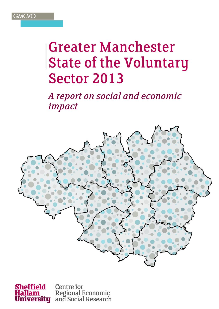

## **Greater Manchester State of the Voluntary Sector 2013**

A report on social and economic impact



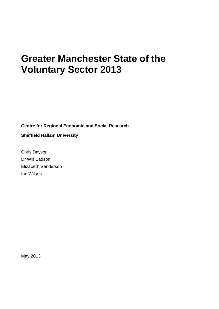## **Greater Manchester State of the Voluntary Sector 2013**

**Centre for Regional Economic and Social Research**

**Sheffield Hallam University**

Chris Dayson Dr Will Eadson Elizabeth Sanderson Ian Wilson

May 2013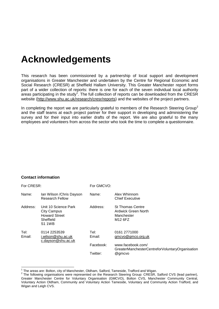## **Acknowledgements**

This research has been commissioned by a partnership of local support and development organisations in Greater Manchester and undertaken by the Centre for Regional Economic and Social Research (CRESR) at Sheffield Hallam University. This Greater Manchester report forms part of a wider collection of reports: there is one for each of the seven individual local authority areas participating in the study<sup>1</sup>. The full collection of reports can be downloaded from the CRESR website [\(http://www.shu.ac.uk/research/cresr/reports\)](http://www.shu.ac.uk/research/cresr/reports) and the websites of the project partners.

In completing the report we are particularly grateful to members of the Research Steering Group<sup>2</sup> and the staff teams at each project partner for their support in developing and administering the survey and for their input into earlier drafts of the report. We are also grateful to the many employees and volunteers from across the sector who took the time to complete a questionnaire.

#### **Contact information**

| For CRESR:     |                                                                                                  | For GMCVO:                                |                                                                                                                     |  |
|----------------|--------------------------------------------------------------------------------------------------|-------------------------------------------|---------------------------------------------------------------------------------------------------------------------|--|
| Name:          | Ian Wilson / Chris Dayson<br><b>Research Fellow</b>                                              | Name:                                     | Alex Whinnom<br><b>Chief Executive</b>                                                                              |  |
| Address:       | Unit 10 Science Park<br><b>City Campus</b><br><b>Howard Street</b><br>Sheffield<br><b>S1 1WB</b> | Address:                                  | <b>St Thomas Centre</b><br>Ardwick Green North<br>Manchester<br>M <sub>12</sub> 6FZ                                 |  |
| Tel:<br>Email: | 0114 2253539<br>i.wilson@shu.ac.uk<br>c.dayson@shu.ac.uk                                         | Tel: l<br>Email:<br>Facebook:<br>Twitter: | 0161 2771000<br>gmcvo@gmco.org.uk<br>www.facebook.com/<br>GreaterManchesterCentreforVoluntaryOrganisation<br>@gmcvo |  |
|                |                                                                                                  |                                           |                                                                                                                     |  |

<sup>1</sup> The areas are: Bolton, city of Manchester, Oldham, Salford, Tameside, Trafford and Wigan.

 $2$  The following organisations were represented on the Research Steering Group: CRESR, Salford CVS (lead partner), Greater Manchester Centre for Voluntary Organisation (GMCVO), Bolton CVS, Manchester Community Central, Voluntary Action Oldham, Community and Voluntary Action Tameside, Voluntary and Community Action Trafford, and Wigan and Leigh CVS.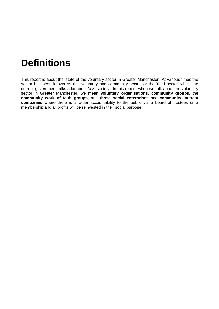## **Definitions**

This report is about the 'state of the voluntary sector in Greater Manchester'. At various times the sector has been known as the 'voluntary and community sector' or the 'third sector' whilst the current government talks a lot about 'civil society'. In this report, when we talk about the voluntary sector in Greater Manchester, we mean **voluntary organisations**, **community groups**, the **community work of faith groups,** and **those social enterprises** and **community interest companies** where there is a wider accountability to the public via a board of trustees or a membership and all profits will be reinvested in their social purpose.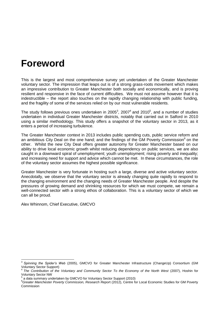### **Foreword**

This is the largest and most comprehensive survey yet undertaken of the Greater Manchester voluntary sector. The impression that leaps out is of a strong grass-roots movement which makes an impressive contribution to Greater Manchester both socially and economically, and is proving resilient and responsive in the face of current difficulties. We must not assume however that it is indestructible – the report also touches on the rapidly changing relationship with public funding, and the fragility of some of the services relied on by our most vulnerable residents.

The study follows previous ones undertaken in 2005<sup>3</sup>, 2007<sup>4</sup> and 2010<sup>5</sup>, and a number of studies undertaken in individual Greater Manchester districts, notably that carried out in Salford in 2010 using a similar methodology. This study offers a snapshot of the voluntary sector in 2013, as it enters a period of increasing turbulence.

The Greater Manchester context in 2013 includes public spending cuts, public service reform and an ambitious City Deal on the one hand; and the findings of the GM Poverty Commission<sup>6</sup> on the other. Whilst the new City Deal offers greater autonomy for Greater Manchester based on our ability to drive local economic growth whilst reducing dependency on public services, we are also caught in a downward spiral of unemployment; youth unemployment; rising poverty and inequality; and increasing need for support and advice which cannot be met. In these circumstances, the role of the voluntary sector assumes the highest possible significance.

Greater Manchester is very fortunate in hosting such a large, diverse and active voluntary sector. Anecdotally, we observe that the voluntary sector is already changing quite rapidly to respond to the changing environment and the changing needs of Greater Manchester people. And despite the pressures of growing demand and shrinking resources for which we must compete, we remain a well-connected sector with a strong ethos of collaboration. This is a voluntary sector of which we can all be proud.

Alex Whinnom, Chief Executive, GMCVO

<sup>-&</sup>lt;br>3 *Spinning the Spider's Web* (2005), GMCVO for Greater Manchester Infrastructure (ChangeUp) Consortium (GM Voluntary Sector Support)<br><sup>4</sup> The Centribution of the

*The Contribution of the Voluntary and Community Sector To the Economy of the North West* (2007), Hoshin for Voluntary Sector NW <sup>5</sup>

a data summary undertaken by GMCVO for Voluntary Sector Support (2010)

<sup>6</sup>*Greater Manchester Poverty Commission, Research Repor*t (2012), Centre for Local Economic Studies for GM Poverty Commission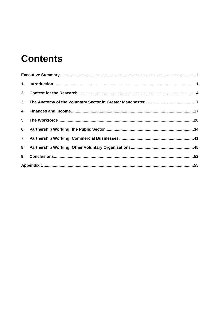## **Contents**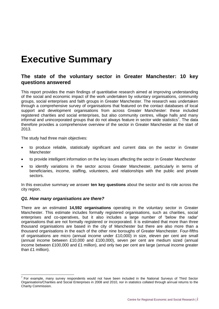## <span id="page-7-0"></span>**Executive Summary**

#### **The state of the voluntary sector in Greater Manchester: 10 key questions answered**

This report provides the main findings of quantitative research aimed at improving understanding of the social and economic impact of the work undertaken by voluntary organisations, community groups, social enterprises and faith groups in Greater Manchester. The research was undertaken through a comprehensive survey of organisations that featured on the contact databases of local support and development organisations from across Greater Manchester: these included registered charities and social enterprises, but also community centres, village halls and many informal and unincorporated groups that do not always feature in sector wide statistics<sup>7</sup>. The data therefore provides a comprehensive overview of the sector in Greater Manchester at the start of 2013.

The study had three main objectives:

- to produce reliable, statistically significant and current data on the sector in Greater Manchester
- to provide intelligent information on the key issues affecting the sector in Greater Manchester
- to identify variations in the sector across Greater Manchester, particularly in terms of beneficiaries, income, staffing, volunteers, and relationships with the public and private sectors.

In this executive summary we answer **ten key questions** about the sector and its role across the city region.

#### *Q1. How many organisations are there?*

There are an estimated **14,592 organisations** operating in the voluntary sector in Greater Manchester. This estimate includes formally registered organisations, such as charities, social enterprises and co-operatives, but it also includes a large number of 'below the radar' organisations that are not formally registered or incorporated. It is estimated that more than three thousand organisations are based in the city of Manchester but there are also more than a thousand organisations in the each of the other nine boroughs of Greater Manchester. Four-fifths of organisations are micro (annual income under £10,000) in size, eleven per cent are small (annual income between £10,000 and £100,000), seven per cent are medium sized (annual income between £100,000 and £1 million), and only two per cent are large (annual income greater than £1 million).

THE TO EXAMPLE TO THE TO THE TO THE TO THE TO THE SURFER THE SECTOR THE TO SECTOR THE SECTOR THANDAND TO THE SECTOR<br>The Comple, many survey respondents would not have been included in the National Surveys of Third Sector Organisations/Charities and Social Enterprises in 2008 and 2010, nor in statistics collated through annual returns to the Charity Commission.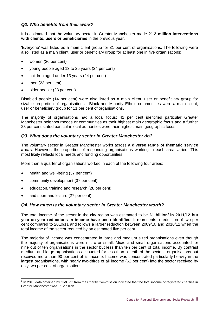#### *Q2. Who benefits from their work?*

It is estimated that the voluntary sector in Greater Manchester made **21.2 million interventions with clients, users or beneficiaries** in the previous year.

'Everyone' was listed as a main client group for 31 per cent of organisations. The following were also listed as a main client, user or beneficiary group for at least one in five organisations:

- women (26 per cent)
- young people aged 13 to 25 years (24 per cent)
- children aged under 13 years (24 per cent)
- men (23 per cent)
- older people (23 per cent).

Disabled people (14 per cent) were also listed as a main client, user or beneficiary group for sizable proportion of organisations. Black and Minority Ethnic communities were a main client, user or beneficiary group for 11 per cent of organisations.

The majority of organisations had a local focus: 41 per cent identified particular Greater Manchester neighbourhoods or communities as their highest main geographic focus and a further 28 per cent stated particular local authorities were their highest main geographic focus.

#### *Q3. What does the voluntary sector in Greater Manchester do?*

The voluntary sector in Greater Manchester works across **a diverse range of thematic service areas**. However, the proportion of responding organisations working in each area varied. This most likely reflects local needs and funding opportunities.

More than a quarter of organisations worked in each of the following four areas:

- health and well-being (37 per cent)
- community development (37 per cent)
- education, training and research (28 per cent)
- and sport and leisure (27 per cent)*.*

#### *Q4. How much is the voluntary sector in Greater Manchester worth?*

The total income of the sector in the city region was estimated to be **£1 billion<sup>8</sup> in 2011/12 but year-on-year reductions in income have been identified**. It represents a reduction of two per cent compared to 2010/11 and follows a larger reduction between 2009/10 and 2010/11 when the total income of the sector reduced by an estimated five per cent.

The majority of income was concentrated in large and medium sized organisations even though the majority of organisations were micro or small. Micro and small organisations accounted for nine out of ten organisations in the sector but less than ten per cent of total income. By contrast medium and large organisations accounted for less than a tenth of the sector's organisations but received more than 90 per cent of its income. Income was concentrated particularly heavily in the largest organisations, with nearly two-thirds of all income (62 per cent) into the sector received by only two per cent of organisations.

<sup>&</sup>lt;u>edd</u><br><sup>8</sup> In 2010 data obtained by GMCVO from the Charity Commission indicated that the total income of registered charities in Greater Manchester was £1.2 billion.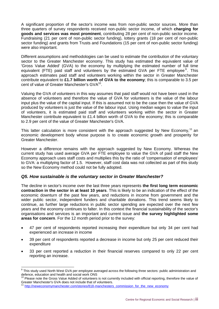A significant proportion of the sector's income was from non-public sector sources. More than three quarters of survey respondents received non-public sector income, of which **charging for goods and services was most prominent**, contributing 28 per cent of non-public sector income. Fundraising (21 per cent of non-public sector funding), lottery grants (18 per cent of non-public sector funding) and grants from Trusts and Foundations (15 per cent of non-public sector funding) were also important.

Different assumptions and methodologies can be used to estimate the contribution of the voluntary sector to the Greater Manchester economy. This study has estimated the equivalent value of 'Gross Value Added' (GVA) to the economy by multiplying the estimated number of full time equivalent (FTE) paid staff and volunteers by the estimated GVA per FTE employee<sup>9</sup>. This approach estimates paid staff and volunteers working within the sector in Greater Manchester contribute equivalent to **£1.7 billion worth of GVA to the economy**; this is comparable to 3.5 per cent of value of Greater Manchester's GVA<sup>10</sup>.

Valuing the GVA of volunteers in this way assumes that paid staff would not have been used in the absence of volunteers and therefore the value of GVA for volunteers is the value of the labour input plus the value of the capital input. If this is assumed not to be the case then the value of GVA produced by volunteers is just the value of the labour input. Using median wages to value the input of volunteers, it is estimated paid staff and volunteers working within the sector in Greater Manchester contribute equivalent to £1.4 billion worth of GVA to the economy; this is comparable to 2.9 per cent of the value of Greater Manchester's GVA.

This latter calculation is more consistent with the approach suggested by New Economy,<sup>11</sup> an economic development body whose purpose is to create economic growth and prosperity for Greater Manchester.

However a difference remains with the approach suggested by New Economy. Whereas the current study has used average GVA per FTE employee to value the GVA of paid staff the New Economy approach uses staff costs and multiplies this by the ratio of 'compensation of employees' to GVA: a multiplying factor of 1.5. However, staff cost data was not collected as part of this study so the New Economy method could not be fully adopted.

#### *Q5. How sustainable is the voluntary sector in Greater Manchester?*

The decline in sector's income over the last three years represents **the first long term economic contraction in the sector in at least 10 years**. This is likely to be an indication of the effect of the economic downturn of the past few years, and reductions in income from government and the wider public sector, independent funders and charitable donations. This trend seems likely to continue, as further large reductions in public sector spending are expected over the next few years and the economy continues to falter. In this context the financial sustainability of the sector's organisations and services is an important and current issue and **the survey highlighted some areas for concern**. For the 12 month period prior to the survey:

- 47 per cent of respondents reported increasing their expenditure but only 34 per cent had experienced an increase in income
- 39 per cent of respondents reported a decrease in income but only 25 per cent reduced their expenditure
- 33 per cent reported a reduction in their financial reserves compared to only 22 per cent reporting an increase.

 9 This study used North West GVA per employee averaged across the following three sectors: public administration and defence, education and health and social work ONS

<sup>&</sup>lt;sup>10</sup> Please note the Gross Value Added of volunteers is not currently included with official reporting, therefore the value of Greater Manchester's GVA does not include that of volunteers.<br>11 http://secoce.

[http://neweconomymanchester.com/stories/818-manchesters\\_commission\\_for\\_the\\_new\\_economy](http://neweconomymanchester.com/stories/818-manchesters_commission_for_the_new_economy)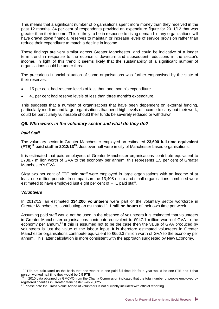This means that a significant number of organisations spent more money than they received in the past 12 months: 34 per cent of respondents provided an expenditure figure for 2011/12 that was greater than their income. This is likely to be in response to rising demand: many organisations will have drawn down financial reserves to maintain or increase levels of service provision rather than reduce their expenditure to match a decline in income.

These findings are very similar across Greater Manchester, and could be indicative of a longer term trend in response to the economic downturn and subsequent reductions in the sector's income. In light of this trend it seems likely that the sustainability of a significant number of organisations could be under threat.

The precarious financial situation of some organisations was further emphasised by the state of their reserves:

- 15 per cent had reserve levels of less than one month's expenditure
- 41 per cent had reserve levels of less than three month's expenditure.

This suggests that a number of organisations that have been dependent on external funding, particularly medium and large organisations that need high levels of income to carry out their work, could be particularly vulnerable should their funds be severely reduced or withdrawn.

#### *Q6. Who works in the voluntary sector and what do they do?*

#### *Paid Staff*

The voluntary sector in Greater Manchester employed an estimated **23,600 full-time equivalent (FTE)<sup>12</sup> paid staff in 2012/13<sup>13</sup>** . Just over half were in city of Manchester based organisations.

It is estimated that paid employees of Greater Manchester organisations contribute equivalent to £738.7 million worth of GVA to the economy per annum; this represents 1.5 per cent of Greater Manchester's GVA.

Sixty two per cent of FTE paid staff were employed in large organisations with an income of at least one million pounds. In comparison the 13,408 micro and small organisations combined were estimated to have employed just eight per cent of FTE paid staff.

#### *Volunteers*

In 2012/13, an estimated **334,200 volunteers** were part of the voluntary sector workforce in Greater Manchester, contributing an estimated **1.1 million hours** of their own time per week.

Assuming paid staff would not be used in the absence of volunteers it is estimated that volunteers in Greater Manchester organisations contribute equivalent to £947.1 million worth of GVA to the economy per annum.<sup>14</sup> If this is assumed not to be the case then the value of GVA produced by volunteers is just the value of the labour input. It is therefore estimated volunteers in Greater Manchester organisations contribute equivalent to £656.3 million worth of GVA to the economy per annum. This latter calculation is more consistent with the approach suggested by New Economy.

 $12$  FTEs are calculated on the basis that one worker in one paid full time job for a year would be one FTE and if that person worked half time they would be 0.5 FTE.

In 2010 data obtained by GMCVO from the Charity Commission indicated that the total number of people employed by registered charities in Greater Manchester was 20,825.

<sup>&</sup>lt;sup>14</sup> Please note the Gross Value Added of volunteers is not currently included with official reporting.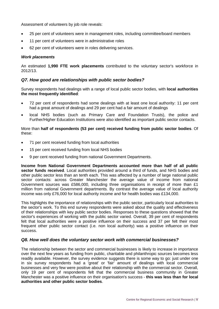Assessment of volunteers by job role reveals:

- 25 per cent of volunteers were in management roles, including committee/board members
- 11 per cent of volunteers were in administrative roles
- 62 per cent of volunteers were in roles delivering services.

#### *Work placements*

An estimated **1,990 FTE work placements** contributed to the voluntary sector's workforce in 2012/13.

#### *Q7. How good are relationships with public sector bodies?*

Survey respondents had dealings with a range of local public sector bodies, with **local authorities the most frequently identified**:

- 72 per cent of respondents had some dealings with at least one local authority: 11 per cent had a great amount of dealings and 29 per cent had a fair amount of dealings
- local NHS bodies (such as Primary Care and Foundation Trusts), the police and Further/Higher Education Institutions were also identified as important public sector contacts.

#### More than **half of respondents (53 per cent) received funding from public sector bodies**. Of these:

- 71 per cent received funding from local authorities
- 15 per cent received funding from local NHS bodies
- 9 per cent received funding from national Government Departments.

**Income from National Government Departments accounted more than half of all public sector funds received**. Local authorities provided around a third of funds, and NHS bodies and other public sector less than an tenth each. This was affected by a number of large national public sector contacts: across Greater Manchester the average value of income from national Government sources was £586,000, including three organisations in receipt of more than £1 million from national Government departments. By contrast the average value of local authority income was only £76,000 for local authority income and for health bodies was £134,000.

This highlights the importance of relationships with the public sector, particularly local authorities to the sector's work. To this end survey respondents were asked about the quality and effectiveness of their relationships with key public sector bodies. Responses to these questions showed that the sector's experiences of working with the public sector varied. Overall, 39 per cent of respondents felt that local authorities were a positive influence on their success and 37 per felt their most frequent other public sector contact (i.e. non local authority) was a positive influence on their success.

#### *Q8. How well does the voluntary sector work with commercial businesses?*

The relationship between the sector and commercial businesses is likely to increase in importance over the next few years as funding from public, charitable and philanthropic sources becomes less readily available. However, the survey evidence suggests there is some way to go: just under one in six survey respondents had a 'great' or 'fair' amount of dealings with local commercial businesses and very few were positive about their relationship with the commercial sector. Overall, only 19 per cent of respondents felt that the commercial business community in Greater Manchester was a positive influence on their organisation's success - **this was less than for local authorities and other public sector bodies**.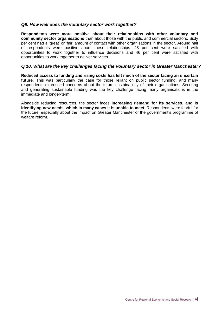#### *Q9. How well does the voluntary sector work together?*

**Respondents were more positive about their relationships with other voluntary and community sector organisations** than about those with the public and commercial sectors. Sixty per cent had a 'great' or 'fair' amount of contact with other organisations in the sector. Around half of respondents were positive about these relationships: 48 per cent were satisfied with opportunities to work together to influence decisions and 46 per cent were satisfied with opportunities to work together to deliver services.

#### *Q.10. What are the key challenges facing the voluntary sector in Greater Manchester?*

**Reduced access to funding and rising costs has left much of the sector facing an uncertain future.** This was particularly the case for those reliant on public sector funding, and many respondents expressed concerns about the future sustainability of their organisations. Securing and generating sustainable funding was the key challenge facing many organisations in the immediate and longer-term.

Alongside reducing resources, the sector faces **increasing demand for its services, and is identifying new needs, which in many cases it is unable to meet**. Respondents were fearful for the future, especially about the impact on Greater Manchester of the government's programme of welfare reform.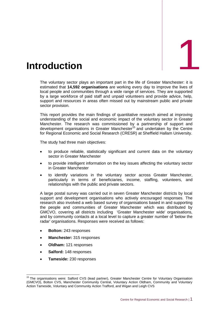<span id="page-13-0"></span>

The voluntary sector plays an important part in the life of Greater Manchester: it is estimated that **14,592 organisations** are working every day to improve the lives of local people and communities through a wide range of services. They are supported by a large workforce of paid staff and unpaid volunteers and provide advice, help, support and resources in areas often missed out by mainstream public and private sector provision.

This report provides the main findings of quantitative research aimed at improving understanding of the social and economic impact of the voluntary sector in Greater Manchester. The research was commissioned by a partnership of support and development organisations in Greater Manchester<sup>15</sup> and undertaken by the Centre for Regional Economic and Social Research (CRESR) at Sheffield Hallam University.

The study had three main objectives:

- to produce reliable, statistically significant and current data on the voluntary sector in Greater Manchester
- to provide intelligent information on the key issues affecting the voluntary sector in Greater Manchester
- to identify variations in the voluntary sector across Greater Manchester, particularly in terms of beneficiaries, income, staffing, volunteers, and relationships with the public and private sectors.

A large postal survey was carried out in seven Greater Manchester districts by local support and development organisations who actively encouraged responses. The research also involved a web based survey of organisations based in and supporting the people and communities of Greater Manchester which was distributed by GMCVO, covering all districts including 'Greater Manchester wide' organisations, and by community contacts at a local level to capture a greater number of 'below the radar' organisations. Responses were received as follows:

- **Bolton:** 243 responses
- **Manchester:** 315 responses
- **Oldham:** 121 responses
- **Salford:** 148 responses

-

**Tameside:** 230 responses

<sup>&</sup>lt;sup>15</sup> The organisations were: Salford CVS (lead partner), Greater Manchester Centre for Voluntary Organisation (GMCVO), Bolton CVS, Manchester Community Central, Voluntary Action Oldham, Community and Voluntary Action Tameside, Voluntary and Community Action Trafford, and Wigan and Leigh CVS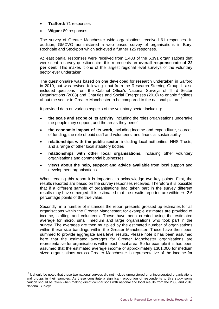- **Trafford:** 71 responses
- **Wigan:** 89 responses.

The survey of Greater Manchester wide organisations received 61 responses. In addition, GMCVO administered a web based survey of organisations in Bury, Rochdale and Stockport which achieved a further 125 responses.

At least partial responses were received from 1,403 of the 6,391 organisations that were sent a survey questionnaire: this represents an **overall response rate of 22 per cent**. This makes it one of the largest regional level surveys of the voluntary sector ever undertaken.

The questionnaire was based on one developed for research undertaken in Salford in 2010, but was revised following input from the Research Steering Group. It also included questions from the Cabinet Office's National Surveys of Third Sector Organisations (2008) and Charities and Social Enterprises (2010) to enable findings about the sector in Greater Manchester to be compared to the national picture<sup>16</sup>.

It provided data on various aspects of the voluntary sector including:

- **the scale and scope of its activity**, including the roles organisations undertake, the people they support, and the areas they benefit
- **the economic impact of its work**, including income and expenditure, sources of funding, the role of paid staff and volunteers, and financial sustainability
- **relationships with the public sector**, including local authorities, NHS Trusts, and a range of other local statutory bodies
- **relationships with other local organisations,** including other voluntary organisations and commercial businesses
- **views about the help, support and advice available** from local support and development organisations.

When reading this report it is important to acknowledge two key points. First, the results reported are based on the survey responses received. Therefore it is possible that if a different sample of organisations had taken part in the survey different results may have emerged. It is estimated that the results reported are within +/- 2.6 percentage points of the true value.

Secondly, in a number of instances the report presents grossed up estimates for all organisations within the Greater Manchester; for example estimates are provided of income, staffing and volunteers. These have been created using the estimated average for micro, small, medium and large organisations who took part in the survey. The averages are then multiplied by the estimated number of organisations within these size bandings within the Greater Manchester. These have then been summed to provide aggregate area level results. Please note it has been assumed here that the estimated averages for Greater Manchester organisations are representative for organisations within each local area. So for example it is has been assumed that the estimated average income of approximately £301,000 for medium sized organisations across Greater Manchester is representative of the income for

 $\overline{1}$ 

<sup>&</sup>lt;sup>16</sup> It should be noted that these two national surveys did not include unregistered or unincorporated organisations and groups in their samples. As these constitute a significant proportion of respondents to this study some caution should be taken when making direct comparisons with national and local results from the 2008 and 2010 National Surveys.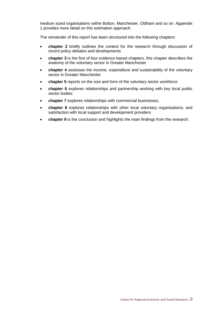medium sized organisations within Bolton, Manchester, Oldham and so on. Appendix 1 provides more detail on this estimation approach.

The remainder of this report has been structured into the following chapters:

- **chapter 2** briefly outlines the context for the research through discussion of recent policy debates and developments
- **chapter 3** is the first of four evidence based chapters, this chapter describes the anatomy of the voluntary sector in Greater Manchester
- **chapter 4** assesses the income, expenditure and sustainability of the voluntary sector in Greater Manchester
- **chapter 5** reports on the size and form of the voluntary sector workforce
- **chapter 6** explores relationships and partnership working with key local public sector bodies
- **chapter 7** explores relationships with commercial businesses,
- **chapter 8** explores relationships with other local voluntary organisations, and satisfaction with local support and development providers
- **chapter 9** is the conclusion and highlights the main findings from the research.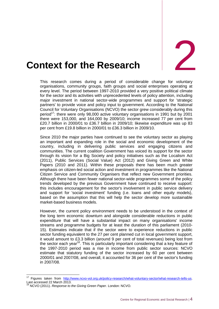

### <span id="page-16-0"></span>2. **Context for the Research**

This research comes during a period of considerable change for voluntary organisations, community groups, faith groups and social enterprises operating at every level. The period between 1997-2010 provided a very positive political climate for the sector and its activities with unprecedented levels of policy attention, including major investment in national sector-wide programmes and support for 'strategic partners' to provide voice and policy input to government. According to the National Council for Voluntary Organisations (NCVO) the sector grew considerably during this period<sup>17</sup>: there were only 98,000 active voluntary organisations in 1991 but by 2001 there were 153,000, and 164,000 by 2009/10; income increased 77 per cent from £20.7 billion in 2000/01 to £36.7 billion in 2009/10; likewise expenditure was up 83 per cent from £19.8 billion in 2000/01 to £36.3 billion in 2009/10.

Since 2010 the major parties have continued to see the voluntary sector as playing an important and expanding role in the social and economic development of the country, including in delivering public services and engaging citizens and communities. The current coalition Government has voiced its support for the sector through its vision for a Big Society and policy initiatives such as the Localism Act (2011), Public Services (Social Value) Act (2012) and Giving Green and White Papers (2010 and 2011). Within these proposals there has been much greater emphasis on citizen-led social action and investment in programmes like the National Citizen Service and Community Organisers that reflect new Government priorities. Although there have been fewer national sector-wide programmes some of the policy trends developed by the previous Government have continued to receive support: this includes encouragement for the sector's involvement in public service delivery and support for 'social investment' funding (i.e. loans and other equity models), based on the assumption that this will help the sector develop more sustainable market-based business models.

However, the current policy environment needs to be understood in the context of the long term economic downturn and alongside considerable reductions in public expenditure that will have a substantial impact on many organisations' income streams and programme budgets for at least the duration of this parliament (2010- 15). Estimates indicate that if the sector were to experience reductions in public sector funding equivalent to the 27 per cent planned cut in local government support, it would amount to £3.3 billion (around 9 per cent of total revenues) being lost from the sector each year<sup>18</sup>. This is particularly important considering that a key feature of the 1997-2010 period was a rise in income from public sector sources: NCVO estimate that statutory funding of the sector increased by 60 per cent between 2000/01 and 2007/08, and overall, it accounted for 36 per cent of the sector's funding in 2007/08.

-

Figures taken from [http://www.ncvo-vol.org.uk/policy-research/what-voluntary-sector/what-research-tells-us.](http://www.ncvo-vol.org.uk/policy-research/what-voluntary-sector/what-research-tells-us) Last accessed 22 March 2013.

<sup>18</sup> NCVO (2011). *Response to the Giving Green Paper*. London: NCVO.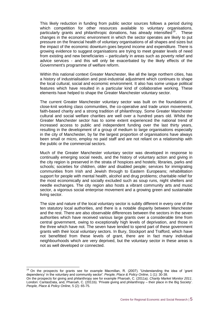This likely reduction in funding from public sector sources follows a period during which competition for other resources available to voluntary organisations, particularly grants and philanthropic donations, has already intensified<sup>19</sup>. These changes in the economic environment in which the sector operates are likely to put pressure on the financial health of voluntary organisations of all shapes and sizes but the impact of the economic downturn goes beyond income and expenditure. There is growing evidence to suggest organisations are trying to meet greater levels of need from existing and new beneficiaries – particularly in areas such as poverty relief and advice services - and this will only be exacerbated by the likely effects of the Government's programme of welfare reform.

Within this national context Greater Manchester, like all the large northern cities, has a history of industrialisation and post-industrial adjustment which continues to shape the local cultural, social and economic environment. It also has some unique political features which have resulted in a particular kind of collaborative working. These elements have helped to shape the Greater Manchester voluntary sector.

The current Greater Manchester voluntary sector was built on the foundations of close-knit working class communities, the co-operative and trade union movements, faith-based charity and a strong tradition of philanthropy. Some Greater Manchester cultural and social welfare charities are well over a hundred years old. Whilst the Greater Manchester sector has to some extent experienced the national trend of increased access to public and independent funding over the last thirty years, resulting in the development of a group of medium to large organisations especially in the city of Manchester, by far the largest proportion of organisations have always been small or micro, employ no paid staff and are not reliant on a relationship with the public or the commercial sectors.

Much of the Greater Manchester voluntary sector was developed in response to continually emerging social needs, and the history of voluntary action and giving in the city region is preserved in the strata of hospices and hostels; libraries, parks and schools; societies for children, older and disabled people; services for immigrating communities from Irish and Jewish through to Eastern Europeans; rehabilitation support for people with mental health, alcohol and drug problems; charitable relief for the most economically and socially excluded such as soup runs, night shelters and needle exchanges. The city region also hosts a vibrant community arts and music sector, a vigorous social enterprise movement and a growing green and sustainable living sector.

The size and nature of the local voluntary sector is subtly different in every one of the ten statutory local authorities, and there is a notable disparity between Manchester and the rest. There are also observable differences between the sectors in the seven authorities which have received various large grants over a considerable time from central government, owing to exceptionally high levels of deprivation, and those in the three which have not. The seven have tended to spend part of these government grants with their local voluntary sectors. In Bury, Stockport and Trafford, which have not benefitted from these levels of grant, there are in fact many individual neighbourhoods which are very deprived, but the voluntary sector in these areas is not as well developed or connected.

-

<sup>19</sup> On the prospects for grants see for example Macmillan, R. (2007). 'Understanding the idea of 'grant dependency' in the voluntary and community sector'. *People, Place & Policy Online*, 1 (1): 30-38.

On the prospects for giving and philanthropy see for example Pharoah, C. (2011a). *Charity Market Monitor 2011*. London: CaritasData, and, Pharoah, C. (2011b). 'Private giving and philanthropy – their place in the Big Society'. *People, Place & Policy Online*, 5 (2): 65-75.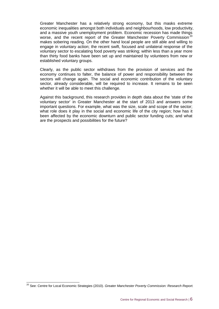Greater Manchester has a relatively strong economy, but this masks extreme economic inequalities amongst both individuals and neighbourhoods, low productivity, and a massive youth unemployment problem. Economic recession has made things worse, and the recent report of the Greater Manchester Poverty Commission<sup>20</sup> makes sobering reading. On the other hand local people are still able and willing to engage in voluntary action; the recent swift, focused and unilateral response of the voluntary sector to escalating food poverty was striking; within less than a year more than thirty food banks have been set up and maintained by volunteers from new or established voluntary groups.

Clearly, as the public sector withdraws from the provision of services and the economy continues to falter, the balance of power and responsibility between the sectors will change again. The social and economic contribution of the voluntary sector, already considerable, will be required to increase. It remains to be seen whether it will be able to meet this challenge.

Against this background, this research provides in depth data about the 'state of the voluntary sector' in Greater Manchester at the start of 2013 and answers some important questions. For example, what was the size, scale and scope of the sector; what role does it play in the social and economic life of the city region; how has it been affected by the economic downturn and public sector funding cuts; and what are the prospects and possibilities for the future?

 $\overline{a}$ 

<sup>20</sup> See: Centre for Local Economic Strategies (2010). *Greater Manchester Poverty Commission: Research Report.*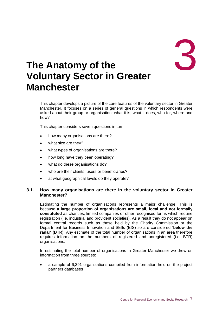## 3

## <span id="page-19-0"></span>3. **The Anatomy of the Voluntary Sector in Greater Manchester**

This chapter develops a picture of the core features of the voluntary sector in Greater Manchester. It focuses on a series of general questions in which respondents were asked about their group or organisation: what it is, what it does, who for, where and how?

This chapter considers seven questions in turn:

- how many organisations are there?
- what size are they?
- what types of organisations are there?
- how long have they been operating?
- what do these organisations do?
- who are their clients, users or beneficiaries?
- at what geographical levels do they operate?

#### **3.1. How many organisations are there in the voluntary sector in Greater Manchester?**

Estimating the number of organisations represents a major challenge. This is because **a large proportion of organisations are small, local and not formally constituted** as charities, limited companies or other recognised forms which require registration (i.e. industrial and provident societies). As a result they do not appear on formal central records such as those held by the Charity Commission or the Department for Business Innovation and Skills (BIS) so are considered **'below the radar' (BTR)**. Any estimate of the total number of organisations in an area therefore requires information on the numbers of registered and unregistered (i.e. BTR) organisations.

In estimating the total number of organisations in Greater Manchester we drew on information from three sources:

 a sample of 6,391 organisations compiled from information held on the project partners databases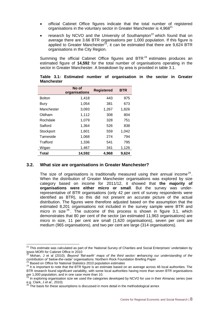- official Cabinet Office figures indicate that the total number of registered organisations in the voluntary sector in Greater Manchester is 4,968<sup>21</sup>
- research by NCVO and the University of Southampton<sup>22</sup> which found that on average there are 3.66 BTR organisations per 1,000 population. If this figure is applied to Greater Manchester<sup>23</sup>, it can be estimated that there are  $9,624$  BTR organisations in the City Region.

Summing the official Cabinet Office figures and BTR $^{24}$  estimates produces an estimated figure of **14,592** for the total number of organisations operating in the sector in Greater Manchester. A breakdown by area is provided in table 3.1.

|               | No of<br>organisations | <b>Registered</b> | <b>BTR</b> |
|---------------|------------------------|-------------------|------------|
| <b>Bolton</b> | 1,418                  | 443               | 975        |
| <b>Bury</b>   | 1,054                  | 381               | 673        |
| Manchester    | 3,093                  | 1,267             | 1,826      |
| Oldham        | 1,112                  | 308               | 804        |
| Rochdale      | 1,079                  | 328               | 751        |
| Salford       | 1,364                  | 526               | 838        |
| Stockport     | 1,601                  | 559               | 1,042      |
| Tameside      | 1,068                  | 274               | 794        |
| Trafford      | 1,336                  | 541               | 795        |
| Wigan         | 1,467                  | 341               | 1,126      |
| Total         | 14,592                 | 4,968             | 9,624      |

#### **Table 3.1: Estimated number of organisation in the sector in Greater Manchester**

#### **3.2. What size are organisations in Greater Manchester?**

The size of organisations is traditionally measured using their annual income<sup>25</sup>. When the distribution of Greater Manchester organisations was explored by size category based on income for 2011/12, it showed that **the majority of organisations were either micro or small**. But the survey was underrepresentative of BTR organisations (only 42 per cent of survey respondents were identified as BTR), so this did not present an accurate picture of the actual distribution. The figures were therefore adjusted based on the assumption that the estimated 8,201 organisations not included in the survey sample were BTR and micro in size<sup>26</sup>. The outcome of this process is shown in figure 3.1, which demonstrates that 80 per cent of the sector (an estimated 11,963 organisations) are micro in size, 11 per cent are small (1,620 organisations), seven per cent are medium (965 organisations), and two per cent are large (314 organisations).

 $\overline{a}$ 

<sup>&</sup>lt;sup>21</sup> This estimate was calculated as part of the 'National Survey of Charities and Social Enterprises' undertaken by Ipsos MORI for Cabinet Office in 2010

<sup>22</sup> Mohan, J et al (2010). *Beyond 'flat-earth' maps of the third sector: enhancing our understanding of the contribution of 'below-the-radar' organisations*. Northern Rock Foundation Briefing Paper

<sup>&</sup>lt;sup>23</sup> Based on Office for National Statistics 2010 population estimates

<sup>&</sup>lt;sup>24</sup> It is important to note that the BTR figure is an estimate based on an average across 46 local authorities. The BTR research found significant variability, with some local authorities having more than seven BTR organisations per 1,000 population, and in one case more than 10.

<sup>&</sup>lt;sup>25</sup> In exploring organisation size we used the categories developed by NCVO for use in their Almanac series (see e.g. Clark, J *et al*., 2010)

 $^{26}$  The basis for these assumptions is discussed in more detail in the methodological annex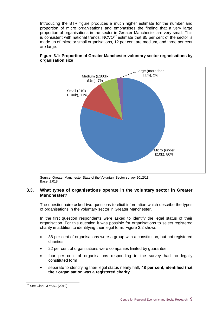Introducing the BTR figure produces a much higher estimate for the number and proportion of micro organisations and emphasises the finding that a very large proportion of organisations in the sector in Greater Manchester are very small. This is consistent with national trends:  $NCVO<sup>27</sup>$  estimate that 85 per cent of the sector is made up of micro or small organisations, 12 per cent are medium, and three per cent are large.



**Figure 3.1: Proportion of Greater Manchester voluntary sector organisations by organisation size**

Source: Greater Manchester State of the Voluntary Sector survey 2012/13 Base: 1,018

#### **3.3. What types of organisations operate in the voluntary sector in Greater Manchester?**

The questionnaire asked two questions to elicit information which describe the types of organisations in the voluntary sector in Greater Manchester.

In the first question respondents were asked to identify the legal status of their organisation. For this question it was possible for organisations to select registered charity in addition to identifying their legal form. Figure 3.2 shows:

- 38 per cent of organisations were a group with a constitution, but not registered charities
- 22 per cent of organisations were companies limited by guarantee
- four per cent of organisations responding to the survey had no legally constituted form
- separate to identifying their legal status nearly half, **48 per cent, identified that their organisation was a registered charity.**

 $\overline{a}$ <sup>27</sup> See Clark, J *et al.,* (2010)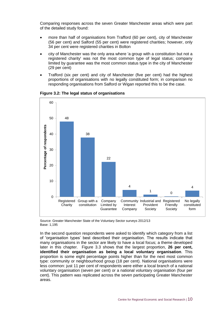Comparing responses across the seven Greater Manchester areas which were part of the detailed study found:

- more than half of organisations from Trafford (60 per cent), city of Manchester (56 per cent) and Salford (55 per cent) were registered charities; however, only 34 per cent were registered charities in Bolton
- city of Manchester was the only area where 'a group with a constitution but not a registered charity' was not the most common type of legal status; company limited by guarantee was the most common status type in the city of Manchester (29 per cent)
- Trafford (six per cent) and city of Manchester (five per cent) had the highest proportions of organisations with no legally constituted form; in comparison no responding organisations from Salford or Wigan reported this to be the case.



**Figure 3.2: The legal status of organisations**

Source: Greater Manchester State of the Voluntary Sector surveys 2012/13 Base: 1,195

In the second question respondents were asked to identify which category from a list of 'organisation types' best described their organisation. The results indicate that many organisations in the sector are likely to have a local focus; a theme developed later in this chapter. Figure 3.3 shows that the largest proportion, **26 per cent, identified their organisation as being a local voluntary organisation**. This proportion is some eight percentage points higher than for the next most common type: community or neighbourhood group (18 per cent). National organisations were less common: just 11 per cent of respondents were either a local branch of a national voluntary organisation (seven per cent) or a national voluntary organisation (four per cent). This pattern was replicated across the seven participating Greater Manchester areas.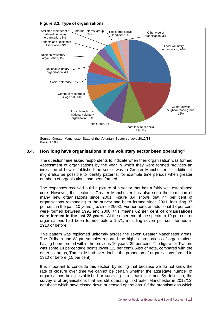

**Figure 3.3: Type of organisations** 

Source: Greater Manchester State of the Voluntary Sector surveys 2012/13 Base: 1,198

#### **3.4. How long have organisations in the voluntary sector been operating?**

The questionnaire asked respondents to indicate when their organisation was formed. Assessment of organisations by the year in which they were formed provides an indication of how established the sector was in Greater Manchester. In addition it might also be possible to identify patterns: for example time periods when greater numbers of organisations had been formed.

The responses received build a picture of a sector that has a fairly well established core. However, the sector in Greater Manchester has also seen the formation of many new organisations since 2001. Figure 3.4 shows that 44 per cent of organisations responding to the survey had been formed since 2001, including 37 per cent in the past 10 years (i.e. since 2003). Furthermore, an additional 18 per cent were formed between 1991 and 2000; this means **62 per cent of organisations were formed in the last 22 years.** At the other end of the spectrum 19 per cent of organisations had been formed before 1971, including seven per cent formed in 1910 or before.

This pattern was replicated uniformly across the seven Greater Manchester areas. The Oldham and Wigan samples reported the highest proportions of organisations having been formed within the previous 10 years: 39 per cent. The figure for Trafford was some 14 percentage points lower (25 per cent). Also of note, compared with the other six areas, Tameside had over double the proportion of organisations formed in 1910 or before (15 per cent).

It is important to conclude this section by noting that because we do not know the rate of closure over time we cannot be certain whether the aggregate number of organisations being established or surviving is increasing or not. By definition, the survey is of organisations that are still operating in Greater Manchester in 2012/13,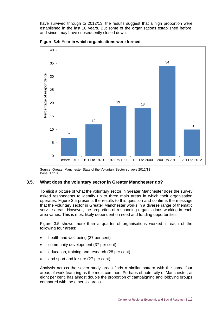have survived through to 2012/13, the results suggest that a high proportion were established in the last 10 years. But some of the organisations established before, and since, may have subsequently closed down.



**Figure 3.4: Year in which organisations were formed**

Source: Greater Manchester State of the Voluntary Sector surveys 2012/13 Base: 1,110

#### **3.5. What does the voluntary sector in Greater Manchester do?**

To elicit a picture of what the voluntary sector in Greater Manchester does the survey asked respondents to identify up to three main areas in which their organisation operates. Figure 3.5 presents the results to this question and confirms the message that the voluntary sector in Greater Manchester works in a diverse range of thematic service areas. However, the proportion of responding organisations working in each area varies. This is most likely dependent on need and funding opportunities.

Figure 3.5 shows more than a quarter of organisations worked in each of the following four areas:

- health and well-being (37 per cent)
- community development (37 per cent)
- education, training and research (28 per cent)
- and sport and leisure (27 per cent).

Analysis across the seven study areas finds a similar pattern with the same four areas of work featuring as the most common. Perhaps of note, city of Manchester, at eight per cent, has almost double the proportion of campaigning and lobbying groups compared with the other six areas.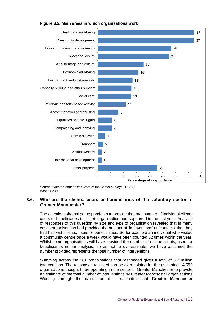

#### **Figure 3.5: Main areas in which organisations work**

Source: Greater Manchester State of the Sector surveys 2012/13 Base: 1,200

#### **3.6. Who are the clients, users or beneficiaries of the voluntary sector in Greater Manchester?**

The questionnaire asked respondents to provide the total number of individual clients, users or beneficiaries that their organisation had supported in the last year. Analysis of responses to this question by size and type of organisation revealed that in many cases organisations had provided the number of 'interventions' or 'contacts' that they had had with clients, users or beneficiaries. So for example an individual who visited a community centre once a week would have been counted 52 times within the year. Whilst some organisations will have provided the number of unique clients, users or beneficiaries in our analysis, so as not to overestimate, we have assumed the number provided represents the total number of interventions.

Summing across the 981 organisations that responded gives a total of 3.2 million interventions. The responses received can be extrapolated for the estimated 14,592 organisations thought to be operating in the sector in Greater Manchester to provide an estimate of the total number of interventions by Greater Manchester organisations. Working through the calculation it is estimated that **Greater Manchester**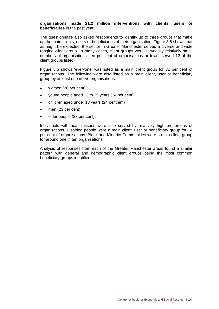#### **organisations made 21.2 million interventions with clients, users or beneficiaries** in the past year.

The questionnaire also asked respondents to identify up to three groups that make up the main clients, users or beneficiaries of their organisation. Figure 3.6 shows that, as might be expected, the sector in Greater Manchester served a diverse and wide ranging client group. In many cases, client groups were served by relatively small numbers of organisations: ten per cent of organisations or fewer served 12 of the client groups listed.

Figure 3.6 shows 'everyone' was listed as a main client group for 31 per cent of organisations. The following were also listed as a main client, user or beneficiary group by at least one in five organisations:

- women (26 per cent)
- young people aged 13 to 25 years (24 per cent)
- children aged under 13 years (24 per cent)
- men (23 per cent)
- older people (23 per cent).

Individuals with health issues were also served by relatively high proportions of organisations. Disabled people were a main client, user or beneficiary group for 14 per cent of organisations. Black and Minority Communities were a main client group for around one in ten organisations.

Analysis of responses from each of the Greater Manchester areas found a similar pattern with general and demographic client groups being the most common beneficiary groups identified.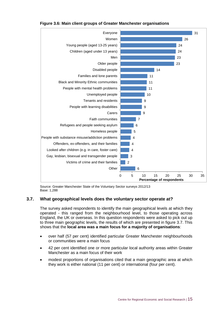

#### **Figure 3.6: Main client groups of Greater Manchester organisations**

Source: Greater Manchester State of the Voluntary Sector surveys 2012/13 Base: 1,288

#### **3.7. What geographical levels does the voluntary sector operate at?**

The survey asked respondents to identify the main geographical levels at which they operated - this ranged from the neighbourhood level, to those operating across England, the UK or overseas. In this question respondents were asked to pick out up to three main geographic levels, the results of which are presented in figure 3.7. This shows that the **local area was a main focus for a majority of organisations**:

- over half (57 per cent) identified particular Greater Manchester neighbourhoods or communities were a main focus
- 42 per cent identified one or more particular local authority areas within Greater Manchester as a main focus of their work
- modest proportions of organisations cited that a main geographic area at which they work is either national (11 per cent) or international (four per cent).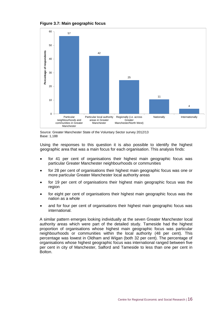



Source: Greater Manchester State of the Voluntary Sector survey 2012/13 Base: 1,188

Using the responses to this question it is also possible to identify the highest geographic area that was a main focus for each organisation. This analysis finds:

- for 41 per cent of organisations their highest main geographic focus was particular Greater Manchester neighbourhoods or communities
- for 28 per cent of organisations their highest main geographic focus was one or more particular Greater Manchester local authority areas
- for 19 per cent of organisations their highest main geographic focus was the region
- for eight per cent of organisations their highest main geographic focus was the nation as a whole
- and for four per cent of organisations their highest main geographic focus was international.

A similar pattern emerges looking individually at the seven Greater Manchester local authority areas which were part of the detailed study. Tameside had the highest proportion of organisations whose highest main geographic focus was particular neighbourhoods or communities within the local authority (48 per cent). This percentage was lowest in Oldham and Wigan (both 32 per cent). The percentage of organisations whose highest geographic focus was international ranged between five per cent in city of Manchester, Salford and Tameside to less than one per cent in Bolton.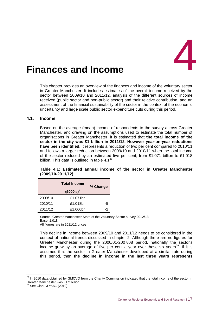# <span id="page-29-0"></span>Finances and Income

This chapter provides an overview of the finances and income of the voluntary sector in Greater Manchester. It includes estimates of the overall income received by the sector between 2009/10 and 2011/12, analysis of the different sources of income received (public sector and non-public sector) and their relative contribution, and an assessment of the financial sustainability of the sector in the context of the economic uncertainty and large scale public sector expenditure cuts during this period.

#### **4.1. Income**

Based on the average (mean) income of respondents to the survey across Greater Manchester, and drawing on the assumptions used to estimate the total number of organisations in Greater Manchester, it is estimated that **the total income of the sector in the city was £1 billion in 2011/12. However year-on-year reductions have been identified.** It represents a reduction of two per cent compared to 2010/11 and follows a larger reduction between 2009/10 and 2010/11 when the total income of the sector reduced by an estimated five per cent, from £1.071 billion to £1.018 billion. This data is outlined in table  $4.1^{28}$ .

|         | % Change |    |
|---------|----------|----|
| 2009/10 | £1.071bn |    |
| 2010/11 | £1.018bn | -5 |
| 2011/12 | £1.000bn | -2 |

**Table 4.1: Estimated annual income of the sector in Greater Manchester (2009/10-2011/12)**

Source: Greater Manchester State of the Voluntary Sector survey 2012/13 Base: 1,018 All figures are in 2011/12 prices

This decline in income between 2009/10 and 2011/12 needs to be considered in the context of national trends discussed in chapter 2. Although there are no figures for Greater Manchester during the 2000/01-2007/08 period, nationally the sector's income grew by an average of five per cent a year over these six years<sup>29</sup>. If it is assumed that the sector in Greater Manchester developed at a similar rate during this period, then **the decline in income in the last three years represents**

-

<sup>&</sup>lt;sup>28</sup> In 2010 data obtained by GMCVO from the Charity Commission indicated that the total income of the sector in Greater Manchester was £1.2 billion.

<sup>29</sup> See Clark, J *et al.,* (2010)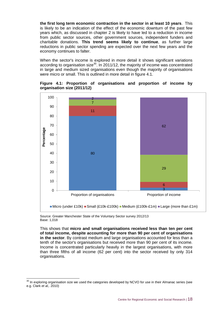**the first long term economic contraction in the sector in at least 10 years**. This is likely to be an indication of the effect of the economic downturn of the past few years which, as discussed in chapter 2 is likely to have led to a reduction in income from public sector sources, other government sources, independent funders and charitable donations. **This trend seems likely to continue**, as further large reductions in public sector spending are expected over the next few years and the economy continues to falter.

When the sector's income is explored in more detail it shows significant variations according to organisation size $30$ . In 2011/12, the majority of income was concentrated in large and medium sized organisations even though the majority of organisations were micro or small. This is outlined in more detail in figure 4.1.



#### **Figure 4.1: Proportion of organisations and proportion of income by organisation size (2011/12)**

Source: Greater Manchester State of the Voluntary Sector survey 2012/13 Base: 1,018

-

This shows that **micro and small organisations received less than ten per cent of total income, despite accounting for more than 90 per cent of organisations in the sector**. By contrast medium and large organisations accounted for less than a tenth of the sector's organisations but received more than 90 per cent of its income. Income is concentrated particularly heavily in the largest organisations, with more than three fifths of all income (62 per cent) into the sector received by only 314 organisations.

 $30$  In exploring organisation size we used the categories developed by NCVO for use in their Almanac series (see e.g. Clark *et al*,. 2010)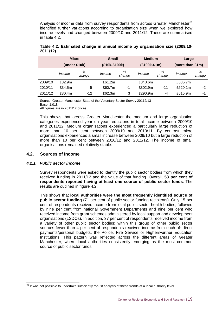Analysis of income data from survey respondents from across Greater Manchester $31$ identified further variations according to organisation size when we explored how income levels had changed between 2009/10 and 2011/12. These are summarised in table 4.2.

|         | <b>Micro</b> |             | <b>Small</b> |             | <b>Medium</b> |             | Large           |             |
|---------|--------------|-------------|--------------|-------------|---------------|-------------|-----------------|-------------|
|         | (under £10k) |             | (£10k-£100k) |             | (£100k-£1m)   |             | (more than £1m) |             |
|         | Income       | %<br>change | Income       | %<br>change | Income        | %<br>change | Income          | %<br>change |
| 2009/10 | £32.9m       |             | £61.2m       |             | £340.6m       |             | £635.7m         |             |
| 2010/11 | £34.5m       | 5           | £60.7m       | -1          | £302.9m       | $-11$       | £620.1m         | -2          |
| 2011/12 | £30.4m       | $-12$       | £62.3m       | 3           | £290.9m       | -4          | £615.9m         | -1          |

#### **Table 4.2: Estimated change in annual income by organisation size (2009/10- 2011/12)**

Source: Greater Manchester State of the Voluntary Sector Survey 20112/13 Base: 1,018 All figures are in 2011/12 prices

This shows that across Greater Manchester the medium and large organisation categories experienced year on year reductions in total income between 2009/10 and 2011/12. Medium organisations experienced a particularly large reduction of more than 10 per cent between 2009/10 and 2010/11. By contrast micro organisations experienced a small increase between 2009/10 but a large reduction of more than 10 per cent between 2010/12 and 2011/12. The income of small organisations remained relatively stable.

#### **4.2. Sources of Income**

#### *4.2.1. Public sector income*

Survey respondents were asked to identify the public sector bodies from which they received funding in 2011/12 and the value of that funding. Overall, **53 per cent of respondents reported having at least one source of public sector funds**. The results are outlined in figure 4.2.

This shows that **local authorities were the most frequently identified source of public sector funding** (71 per cent of public sector funding recipients). Only 15 per cent of respondents received income from local public sector health bodies, followed by nine per cent from national Government Departments and nine per cent who received income from grant schemes administered by local support and development organisations (LSDOs). In addition, 37 per cent of respondents received income from a variety of other public sector bodies: within this group of other public sector sources fewer than 4 per cent of respondents received income from each of: direct payments/personal budgets, the Police, Fire Service or Higher/Further Education Institutions. This pattern was reflected across the different areas of Greater Manchester, where local authorities consistently emerging as the most common source of public sector funds.

 $\overline{a}$  $31$  It was not possible to undertake sufficiently robust analysis of these trends at a local authority level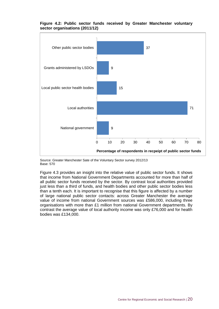

#### **Figure 4.2: Public sector funds received by Greater Manchester voluntary sector organisations (2011/12)**

Source: Greater Manchester Sate of the Voluntary Sector survey 2012/13 Base: 570

Figure 4.3 provides an insight into the relative value of public sector funds. It shows that income from National Government Departments accounted for more than half of all public sector funds received by the sector. By contrast local authorities provided just less than a third of funds, and health bodies and other public sector bodies less than a tenth each. It is important to recognise that this figure is affected by a number of large national public sector contacts: across Greater Manchester the average value of income from national Government sources was £586,000, including three organisations with more than £1 million from national Government departments. By contrast the average value of local authority income was only £76,000 and for health bodies was £134,000.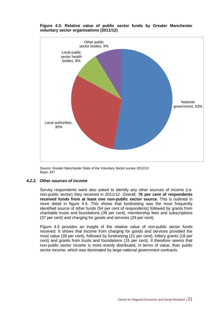

#### **Figure 4.3: Relative value of public sector funds by Greater Manchester voluntary sector organisations (2011/12)**

Source: Greater Manchester State of the Voluntary Sector survey 2012/13 Base: 437

#### *4.2.2. Other sources of income*

Survey respondents were also asked to identify any other sources of income (i.e. non-public sector) they received in 2011/12. Overall, **76 per cent of respondents received funds from at least one non-public sector source**. This is outlined in more detail in figure 4.4. This shows that fundraising was the most frequently identified source of other funds (54 per cent of respondents) followed by grants from charitable trusts and foundations (39 per cent), membership fees and subscriptions (37 per cent) and charging for goods and services (29 per cent).

Figure 4.5 provides an insight of the relative value of non-public sector funds received. It shows that income from charging for goods and services provided the most value (28 per cent), followed by fundraising (21 per cent), lottery grants (18 per cent) and grants from trusts and foundations (15 per cent). It therefore seems that non-public sector income is more evenly distributed, in terms of value, than public sector income, which was dominated by large national government contracts.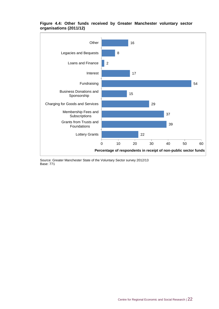

#### **Figure 4.4: Other funds received by Greater Manchester voluntary sector organisations (2011/12)**

Source: Greater Manchester State of the Voluntary Sector survey 2012/13 Base: 771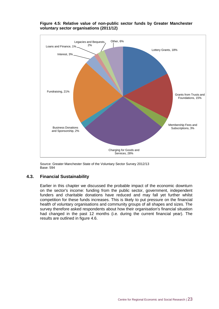

#### **Figure 4.5: Relative value of non-public sector funds by Greater Manchester voluntary sector organisations (2011/12)**

Source: Greater Manchester State of the Voluntary Sector Survey 2012/13 Base: 594

#### **4.3. Financial Sustainability**

Earlier in this chapter we discussed the probable impact of the economic downturn on the sector's income: funding from the public sector, government, independent funders and charitable donations have reduced and may fall yet further whilst competition for these funds increases. This is likely to put pressure on the financial health of voluntary organisations and community groups of all shapes and sizes. The survey therefore asked respondents about how their organisation's financial situation had changed in the past 12 months (i.e. during the current financial year). The results are outlined in figure 4.6.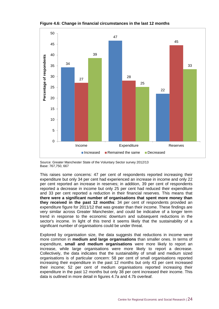



Source: Greater Manchester State of the Voluntary Sector survey 2012/13 Base: 767,750, 667

This raises some concerns: 47 per cent of respondents reported increasing their expenditure but only 34 per cent had experienced an increase in income and only 22 per cent reported an increase in reserves; in addition, 39 per cent of respondents reported a decrease in income but only 25 per cent had reduced their expenditure and 33 per cent reported a reduction in their financial reserves. This means that **there were a significant number of organisations that spent more money than they received in the past 12 months**: 34 per cent of respondents provided an expenditure figure for 2011/12 that was greater than their income. These findings are very similar across Greater Manchester, and could be indicative of a longer term trend in response to the economic downturn and subsequent reductions in the sector's income. In light of this trend it seems likely that the sustainability of a significant number of organisations could be under threat.

Explored by organisation size, the data suggests that reductions in income were more common in **medium and large organisations** than smaller ones. In terms of expenditure, **small and medium organisations** were more likely to report an increase, while large organisations were more likely to report a decrease. Collectively, the data indicates that the sustainability of small and medium sized organisations is of particular concern: 58 per cent of small organisations reported increasing their expenditure in the past 12 months but only 43 per cent increased their income; 52 per cent of medium organisations reported increasing their expenditure in the past 12 months but only 38 per cent increased their income. This data is outlined in more detail in figures 4.7a and 4.7b overleaf.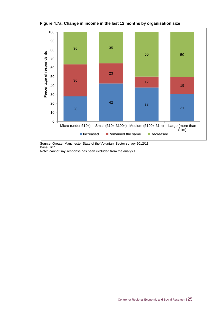

**Figure 4.7a: Change in income in the last 12 months by organisation size**

Source: Greater Manchester State of the Voluntary Sector survey 2012/13 Base: 767

Note: 'cannot say' response has been excluded from the analysis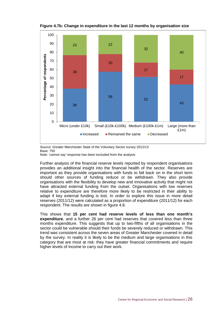

**Figure 4.7b: Change in expenditure in the last 12 months by organisation size**



Note: 'cannot say' response has been excluded from the analysis

Further analysis of the financial reserve levels reported by respondent organisations provides an additional insight into the financial health of the sector. Reserves are important as they provide organisations with funds to fall back on in the short term should other sources of funding reduce or be withdrawn. They also provide organisations with the flexibility to develop new and innovative activity that might not have attracted external funding from the outset. Organisations with low reserves relative to expenditure are therefore more likely to be restricted in their ability to adapt if key external funding is lost. In order to explore this issue in more detail reserves (2011/12) were calculated as a proportion of expenditure (2011/12) for each respondent. The results are shown in figure 4.8.

This shows that **15 per cent had reserve levels of less than one month's expenditure**, and a further 26 per cent had reserves that covered less than three months expenditure. This suggests that up to two-fifths of all organisations in the sector could be vulnerable should their funds be severely reduced or withdrawn. This trend was consistent across the seven areas of Greater Manchester covered in detail by the survey. In reality it is likely to be the medium and large organisations in this category that are most at risk: they have greater financial commitments and require higher levels of income to carry out their work.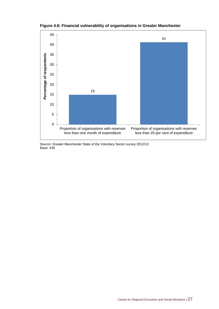

**Figure 4.8: Financial vulnerability of organisations in Greater Manchester**

Source: Greater Manchester State of the Voluntary Sector survey 2012/13 Base: 436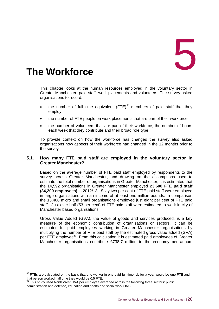# <span id="page-40-0"></span>The Workforce

This chapter looks at the human resources employed in the voluntary sector in Greater Manchester: paid staff, work placements and volunteers. The survey asked organisations to record:

- the number of full time equivalent  $(FTE)^{32}$  members of paid staff that they employ
- the number of FTE people on work placements that are part of their workforce
- the number of volunteers that are part of their workforce, the number of hours each week that they contribute and their broad role type.

To provide context on how the workforce has changed the survey also asked organisations how aspects of their workforce had changed in the 12 months prior to the survey.

#### **5.1. How many FTE paid staff are employed in the voluntary sector in Greater Manchester?**

Based on the average number of FTE paid staff employed by respondents to the survey across Greater Manchester, and drawing on the assumptions used to estimate the total number of organisations in Greater Manchester, it is estimated that the 14,592 organisations in Greater Manchester employed **23,600 FTE paid staff (34,200 employees)** in 2012/13. Sixty two per cent of FTE paid staff were employed in large organisations with an income of at least one million pounds. In comparison the 13,408 micro and small organisations employed just eight per cent of FTE paid staff. Just over half (53 per cent) of FTE paid staff were estimated to work in city of Manchester based organisations.

Gross Value Added (GVA), the value of goods and services produced, is a key measure of the economic contribution of organisations or sectors. It can be estimated for paid employees working in Greater Manchester organisations by multiplying the number of FTE paid staff by the estimated gross value added (GVA) per FTE employee<sup>33</sup>. From this calculation it is estimated paid employees of Greater Manchester organisations contribute £738.7 million to the economy per annum

 $\overline{a}$  $32$  FTEs are calculated on the basis that one worker in one paid full time job for a year would be one FTE and if that person worked half time they would be 0.5 FTE.

 $33$  This study used North West GVA per employee averaged across the following three sectors: public administration and defence, education and health and social work ONS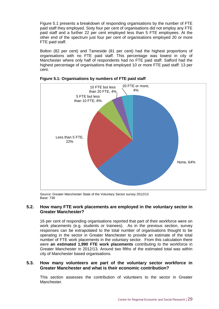Figure 5.1 presents a breakdown of responding organisations by the number of FTE paid staff they employed. Sixty four per cent of organisations did not employ any FTE paid staff and a further 22 per cent employed less than 5 FTE employees. At the other end of the spectrum just four per cent of organisations employed 20 or more FTE paid staff.

Bolton (82 per cent) and Tameside (81 per cent) had the highest proportions of organisations with no FTE paid staff. This percentage was lowest in city of Manchester where only half of respondents had no FTE paid staff. Salford had the highest percentage of organisations that employed 10 or more FTE paid staff: 13 per cent.



#### **Figure 5.1: Organisations by numbers of FTE paid staff**

Source: Greater Manchester State of the Voluntary Sector survey 2012/13 Base: 738

#### **5.2. How many FTE work placements are employed in the voluntary sector in Greater Manchester?**

16 per cent of responding organisations reported that part of their workforce were on work placements (e.g. students or trainees). As in the previous section, survey responses can be extrapolated to the total number of organisations thought to be operating in the sector in Greater Manchester to provide an estimate of the total number of FTE work placements in the voluntary sector. From this calculation there were **an estimated 1,990 FTE work placements** contributing to the workforce in Greater Manchester in 2012/13. Around two fifths of the estimated total was within city of Manchester based organisations.

#### **5.3. How many volunteers are part of the voluntary sector workforce in Greater Manchester and what is their economic contribution?**

This section assesses the contribution of volunteers to the sector in Greater Manchester.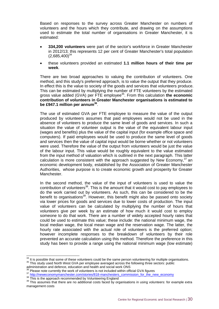Based on responses to the survey across Greater Manchester on numbers of volunteers and the hours which they contribute, and drawing on the assumptions used to estimate the total number of organisations in Greater Manchester, it is estimated:

- **334,200 volunteers** were part of the sector's workforce in Greater Manchester in 2012/13; this represents 12 per cent of Greater Manchester's total population  $(2,685,400)^{34}$
- these volunteers provided an estimated **1.1 million hours of their time per week**.

There are two broad approaches to valuing the contribution of volunteers. One method, and this study's preferred approach, is to value the output that they produce. In effect this is the value to society of the goods and services that volunteers produce. This can be estimated by multiplying the number of FTE volunteers by the estimated gross value added (GVA) per FTE employee<sup>35</sup>. From this calculation **the economic contribution of volunteers in Greater Manchester organisations is estimated to be £947.1 million per annum<sup>36</sup>** .

The use of estimated GVA per FTE employee to measure the value of the output produced by volunteers assumes that paid employees would not be used in the absence of volunteers to produce the same level of goods and services. In such a situation the value of volunteer output is the value of the equivalent labour input (wages and benefits) plus the value of the capital input (for example office space and computers). If paid employees would be used to produce the same level of goods and services then the value of capital input would be borne whether or not volunteers were used. Therefore the value of the output from volunteers would be just the value of the labour input. This value would be roughly equivalent to the value estimated from the input method of valuation which is outlined in the next paragraph. This latter calculation is more consistent with the approach suggested by New Economy, $37$  an economic development body, established by the Association of Greater Manchester Authorities, whose purpose is to create economic growth and prosperity for Greater Manchester.

In the second method, the value of the input of volunteers is used to value the contribution of volunteers<sup>38</sup>. This is the amount that it would cost to pay employees to do the work carried out by volunteers. As such, this can be considered to be the benefit to organisations<sup>39</sup>. However, this benefit might also be passed onto society via lower prices for goods and services due to lower costs of production. The input value of volunteers can be calculated by multiplying the number of hours that volunteers give per week by an estimate of how much it would cost to employ someone to do that work. There are a number of widely accepted hourly rates that could be used to estimate this value; these include: the national minimum wage, the local median wage, the local mean wage and the reservation wage. The latter, the hourly rate associated with the actual role of volunteers is the preferred option; however incomplete responses to the breakdown of volunteers by their role prevented an accurate calculation using this method. Therefore the preference in this study has been to provide a range using the national minimum wage (low estimate)

<sup>37</sup> [http://neweconomymanchester.com/stories/818-manchesters\\_commission\\_for\\_the\\_new\\_economy](http://neweconomymanchester.com/stories/818-manchesters_commission_for_the_new_economy)

-

 $34$  It is possible that some of these volunteers could be the same person volunteering for multiple organisations. <sup>35</sup> This study used North West GVA per employee averaged across the following three sectors: public

administration and defence, education and health and social work ONS

 $36$  Please note currently the work of volunteers is not included within official GVA figures

<sup>&</sup>lt;sup>38</sup> This is the approach recommended by Volunteering England

<sup>&</sup>lt;sup>39</sup> This assumes that there are no additional costs faced by organisations in using volunteers: for example extra management costs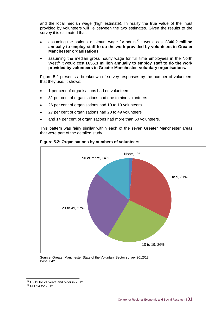and the local median wage (high estimate). In reality the true value of the input provided by volunteers will lie between the two estimates. Given the results to the survey it is estimated that:

- assuming the national minimum wage for adults<sup>40</sup> it would cost £340.2 million **annually to employ staff to do the work provided by volunteers in Greater Manchester organisations**
- assuming the median gross hourly wage for full time employees in the North West<sup>41</sup> it would cost £656.3 million annually to employ staff to do the work **provided by volunteers in Greater Manchester voluntary organisations.**

Figure 5.2 presents a breakdown of survey responses by the number of volunteers that they use. It shows:

- 1 per cent of organisations had no volunteers
- 31 per cent of organisations had one to nine volunteers
- 26 per cent of organisations had 10 to 19 volunteers
- 27 per cent of organisations had 20 to 49 volunteers
- and 14 per cent of organisations had more than 50 volunteers.

This pattern was fairly similar within each of the seven Greater Manchester areas that were part of the detailed study.



#### **Figure 5.2: Organisations by numbers of volunteers**

Source: Greater Manchester State of the Voluntary Sector survey 2012/13 Base: 842

-

 $^{40}$  £6.19 for 21 years and older in 2012

<sup>41</sup> £11.94 for 2012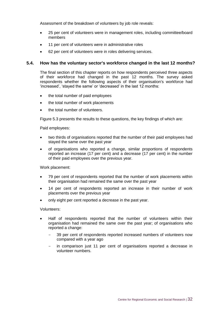Assessment of the breakdown of volunteers by job role reveals:

- 25 per cent of volunteers were in management roles, including committee/board members
- 11 per cent of volunteers were in administrative roles
- 62 per cent of volunteers were in roles delivering services.

#### **5.4. How has the voluntary sector's workforce changed in the last 12 months?**

The final section of this chapter reports on how respondents perceived three aspects of their workforce had changed in the past 12 months. The survey asked respondents whether the following aspects of their organisation's workforce had 'increased', 'stayed the same' or 'decreased' in the last 12 months:

- the total number of paid employees
- the total number of work placements
- the total number of volunteers.

Figure 5.3 presents the results to these questions, the key findings of which are:

Paid employees:

- two thirds of organisations reported that the number of their paid employees had stayed the same over the past year
- of organisations who reported a change, similar proportions of respondents reported an increase (17 per cent) and a decrease (17 per cent) in the number of their paid employees over the previous year.

Work placement:

- 79 per cent of respondents reported that the number of work placements within their organisation had remained the same over the past year
- 14 per cent of respondents reported an increase in their number of work placements over the previous year
- only eight per cent reported a decrease in the past year.

Volunteers:

- Half of respondents reported that the number of volunteers within their organisation had remained the same over the past year; of organisations who reported a change:
	- 39 per cent of respondents reported increased numbers of volunteers now compared with a year ago
	- in comparison just 11 per cent of organisations reported a decrease in volunteer numbers.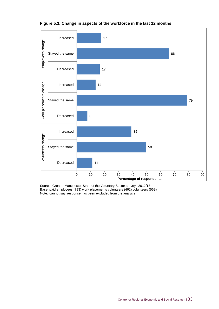

#### **Figure 5.3: Change in aspects of the workforce in the last 12 months**

Source: Greater Manchester State of the Voluntary Sector surveys 2012/13 Base: paid employees (793) work placements volunteers (462) volunteers (569) Note: 'cannot say' response has been excluded from the analysis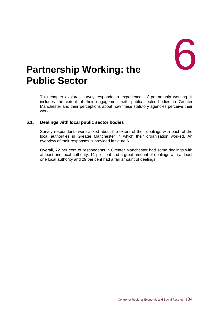## <span id="page-46-0"></span>**Partnership Working: the Public Sector**

This chapter explores survey respondents' experiences of partnership working. It includes the extent of their engagement with public sector bodies in Greater Manchester and their perceptions about how these statutory agencies perceive their work.

#### **6.1. Dealings with local public sector bodies**

Survey respondents were asked about the extent of their dealings with each of the local authorities in Greater Manchester in which their organisation worked. An overview of their responses is provided in figure 6.1.

Overall, 72 per cent of respondents in Greater Manchester had some dealings with at least one local authority: 11 per cent had a great amount of dealings with at least one local authority and 29 per cent had a fair amount of dealings.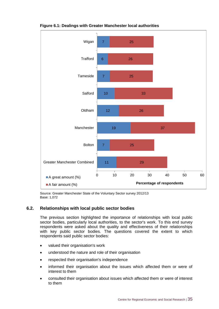

#### **Figure 6.1: Dealings with Greater Manchester local authorities**

Source: Greater Manchester State of the Voluntary Sector survey 2012/13 Base: 1,072

#### **6.2. Relationships with local public sector bodies**

The previous section highlighted the importance of relationships with local public sector bodies, particularly local authorities, to the sector's work. To this end survey respondents were asked about the quality and effectiveness of their relationships with key public sector bodies. The questions covered the extent to which respondents said public sector bodies:

- valued their organisation's work
- understood the nature and role of their organisation
- respected their organisation's independence
- informed their organisation about the issues which affected them or were of interest to them
- consulted their organisation about issues which affected them or were of interest to them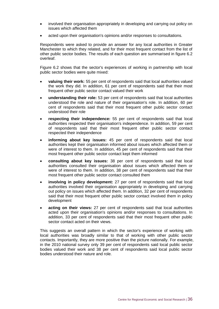- involved their organisation appropriately in developing and carrying out policy on issues which affected them
- acted upon their organisation's opinions and/or responses to consultations.

Respondents were asked to provide an answer for any local authorities in Greater Manchester to which they related, and for their most frequent contact from the list of other public sector bodies. The results of each question are summarised in figure 6.2 overleaf.

Figure 6.2 shows that the sector's experiences of working in partnership with local public sector bodies were quite mixed:

- **valuing their work:** 55 per cent of respondents said that local authorities valued the work they did. In addition, 61 per cent of respondents said that their most frequent other public sector contact valued their work
- **understanding their role:** 53 per cent of respondents said that local authorities understood the role and nature of their organisation's role. In addition, 60 per cent of respondents said that their most frequent other public sector contact understood their role
- **respecting their independence:** 55 per cent of respondents said that local authorities respected their organisation's independence. In addition, 59 per cent of respondents said that their most frequent other public sector contact respected their independence
- **informing about key issues:** 45 per cent of respondents said that local authorities kept their organisation informed about issues which affected them or were of interest to them. In addition, 45 per cent of respondents said that their most frequent other public sector contact kept them informed
- **consulting about key issues:** 38 per cent of respondents said that local authorities consulted their organisation about issues which affected them or were of interest to them. In addition, 38 per cent of respondents said that their most frequent other public sector contact consulted them
- **involving in policy development:** 27 per cent of respondents said that local authorities involved their organisation appropriately in developing and carrying out policy on issues which affected them. In addition, 32 per cent of respondents said that their most frequent other public sector contact involved them in policy development
- **acting on their views:** 27 per cent of respondents said that local authorities acted upon their organisation's opinions and/or responses to consultations. In addition, 33 per cent of respondents said that their most frequent other public sector contact acted on their views.

This suggests an overall pattern in which the sector's experience of working with local authorities was broadly similar to that of working with other public sector contacts. Importantly, they are more positive than the picture nationally. For example, in the 2010 national survey only 39 per cent of respondents said local public sector bodies valued their work and 38 per cent of respondents said local public sector bodies understood their nature and role.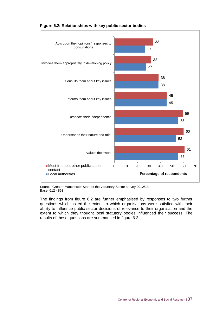

**Figure 6.2: Relationships with key public sector bodies**

Source: Greater Manchester State of the Voluntary Sector survey 2012/13 Base: 612 - 863

The findings from figure 6.2 are further emphasised by responses to two further questions which asked the extent to which organisations were satisfied with their ability to influence public sector decisions of relevance to their organisation and the extent to which they thought local statutory bodies influenced their success. The results of these questions are summarised in figure 6.3.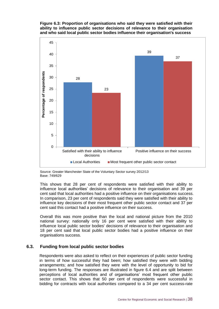



Source: Greater Manchester State of the Voluntary Sector survey 2012/13 Base: 749/629

This shows that 28 per cent of respondents were satisfied with their ability to influence local authorities' decisions of relevance to their organisation and 39 per cent said that local authorities had a positive influence on their organisations success. In comparison, 23 per cent of respondents said they were satisfied with their ability to influence key decisions of their most frequent other public sector contact and 37 per cent said this contact had a positive influence on their success.

Overall this was more positive than the local and national picture from the 2010 national survey: nationally only 16 per cent were satisfied with their ability to influence local public sector bodies' decisions of relevance to their organisation and 18 per cent said that local public sector bodies had a positive influence on their organisations success.

#### **6.3. Funding from local public sector bodies**

Respondents were also asked to reflect on their experiences of public sector funding in terms of how successful they had been; how satisfied they were with bidding arrangements; and how satisfied they were with the level of opportunity to bid for long-term funding. The responses are illustrated in figure 6.4 and are split between perceptions of local authorities and of organisations' most frequent other public sector contact. This shows that 50 per cent of respondents were successful in bidding for contracts with local authorities compared to a 34 per cent success-rate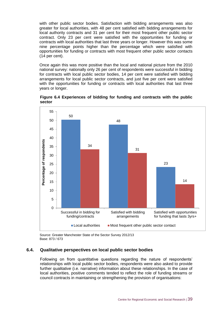with other public sector bodies. Satisfaction with bidding arrangements was also greater for local authorities, with 48 per cent satisfied with bidding arrangements for local authority contracts and 31 per cent for their most frequent other public sector contract. Only 23 per cent were satisfied with the opportunities for funding or contracts with local authorities that last three years or longer. However this was some nine percentage points higher than the percentage which were satisfied with opportunities for funding or contracts with most frequent other public sector contacts (14 per cent).

Once again this was more positive than the local and national picture from the 2010 national survey: nationally only 26 per cent of respondents were successful in bidding for contracts with local public sector bodies, 14 per cent were satisfied with bidding arrangements for local public sector contracts, and just five per cent were satisfied with the opportunities for funding or contracts with local authorities that last three years or longer.



**Figure 6.4 Experiences of bidding for funding and contracts with the public sector**

Source: Greater Manchester State of the Sector Survey 2012/13 Base: 873 / 673

#### **6.4. Qualitative perspectives on local public sector bodies**

Following on from quantitative questions regarding the nature of respondents' relationships with local public sector bodies, respondents were also asked to provide further qualitative (i.e. narrative) information about these relationships. In the case of local authorities, positive comments tended to reflect the role of funding streams or council contracts in maintaining or strengthening the provision of organisations: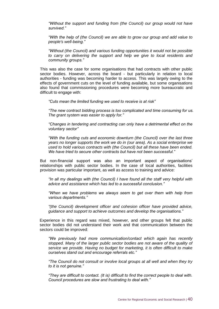*"Without the support and funding from (the Council) our group would not have survived."*

*"With the help of (the Council) we are able to grow our group and add value to people's well-being."*

*"Without (the Council) and various funding opportunities it would not be possible to carry on delivering the support and help we give to local residents and community groups."*

This was also the case for some organisations that had contracts with other public sector bodies. However, across the board - but particularly in relation to local authorities - funding was becoming harder to access. This was largely owing to the effects of government cuts on the level of funding available, but some organisations also found that commissioning procedures were becoming more bureaucratic and difficult to engage with:

*"Cuts mean the limited funding we used to receive is at risk"*

*"The new contract bidding process is too complicated and time consuming for us. The grant system was easier to apply for."*

*"Changes in tendering and contracting can only have a detrimental effect on the voluntary sector"*

*"With the funding cuts and economic downturn (the Council) over the last three years no longer supports the work we do in (our area). As a social enterprise we used to hold various contracts with (the Council) but all these have been ended. We have tried to secure other contracts but have not been successful."*

But non-financial support was also an important aspect of organisations' relationships with public sector bodies. In the case of local authorities, facilities provision was particular important, as well as access to training and advice:

*"In all my dealings with (the Council) I have found all the staff very helpful with advice and assistance which has led to a successful conclusion."*

*"When we have problems we always seem to get over them with help from various departments."*

*"(the Council) development officer and cohesion officer have provided advice, guidance and support to achieve outcomes and develop the organisations."*

Experience in this regard was mixed, however, and other groups felt that public sector bodies did not understand their work and that communication between the sectors could be improved:

*"We previously had more communication/contact which again has recently stopped. Many of the larger public sector bodies are not aware of the quality of service we provide. Having no budget for marketing, it is often difficult to make ourselves stand out and encourage referrals etc."*

*"The Council do not consult or involve local groups at all well and when they try to it is not genuine."*

*"They are difficult to contact. (It is) difficult to find the correct people to deal with. Council procedures are slow and frustrating to deal with."*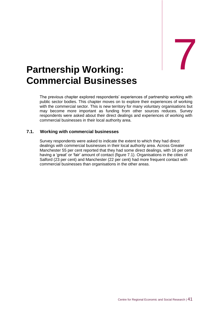## <span id="page-53-0"></span>Partnership Working: **Commercial Businesses**

The previous chapter explored respondents' experiences of partnership working with public sector bodies. This chapter moves on to explore their experiences of working with the commercial sector. This is new territory for many voluntary organisations but may become more important as funding from other sources reduces. Survey respondents were asked about their direct dealings and experiences of working with commercial businesses in their local authority area.

#### **7.1. Working with commercial businesses**

Survey respondents were asked to indicate the extent to which they had direct dealings with commercial businesses in their local authority area. Across Greater Manchester 55 per cent reported that they had some direct dealings, with 16 per cent having a 'great' or 'fair' amount of contact (figure 7.1). Organisations in the cities of Salford (23 per cent) and Manchester (22 per cent) had more frequent contact with commercial businesses than organisations in the other areas.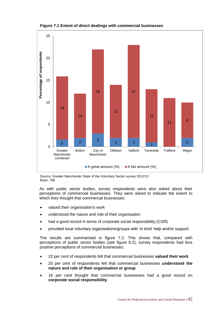

**Figure 7.1 Extent of direct dealings with commercial businesses**

Source: Greater Manchester State of the Voluntary Sector survey 2012/13 Base: 796

As with public sector bodies, survey respondents were also asked about their perceptions of commercial businesses. They were asked to indicate the extent to which they thought that commercial businesses:

- valued their organisation's work
- understood the nature and role of their organisation
- had a good record in terms of corporate social responsibility (CSR)
- provided local voluntary organisations/groups with 'in kind' help and/or support.

The results are summarised in figure 7.2. This shows that, compared with perceptions of public sector bodies (see figure 6.2), survey respondents had less positive perceptions of commercial businesses:

- 22 per cent of respondents felt that commercial businesses **valued their work**
- 20 per cent of respondents felt that commercial businesses **understood the nature and role of their organisation or group**
- 16 per cent thought that commercial businesses had a good record on **corporate social responsibility**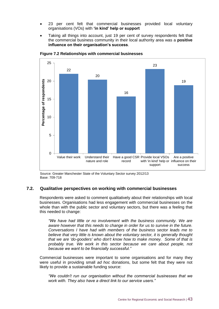- 23 per cent felt that commercial businesses provided local voluntary organisations (VOs) with **'in kind' help or support**
- Taking all things into account, just 19 per cent of survey respondents felt that the commercial business community in their local authority area was a **positive influence on their organisation's success**.



**Figure 7.2 Relationships with commercial businesses**

#### **7.2. Qualitative perspectives on working with commercial businesses**

Respondents were asked to comment qualitatively about their relationships with local businesses. Organisations had less engagement with commercial businesses on the whole than with the public sector and voluntary sectors, but there was a feeling that this needed to change:

*"We have had little or no involvement with the business community. We are aware however that this needs to change in order for us to survive in the future. Conversations I have had with members of the business sector leads me to believe that very little is known about the voluntary sector, it is generally thought that we are 'do-gooders' who don't know how to make money. Some of that is probably true. We work in this sector because we care about people, not because we want to be financially successful."*

Commercial businesses were important to some organisations and for many they were useful in providing small *ad hoc* donations, but some felt that they were not likely to provide a sustainable funding source:

*"We couldn't run our organisation without the commercial businesses that we work with. They also have a direct link to our service users."*

Source: Greater Manchester State of the Voluntary Sector survey 2012/13 Base: 709-718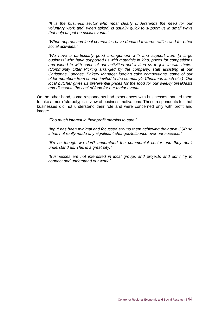*"It is the business sector who most clearly understands the need for our voluntary work and, when asked, is usually quick to support us in small ways that help us put on social events."*

*"When approached local companies have donated towards raffles and for other social activities."*

*"We have a particularly good arrangement with and support from [a large business] who have supported us with materials in kind, prizes for competitions and joined in with some of our activities and invited us to join in with theirs. (Community Litter Picking arranged by the company, staff assisting at our Christmas Lunches, Bakery Manager judging cake competitions, some of our older members from church invited to the company's Christmas lunch etc.) Our local butcher gives us preferential prices for the food for our weekly breakfasts and discounts the cost of food for our major events."*

On the other hand, some respondents had experiences with businesses that led them to take a more 'stereotypical' view of business motivations. These respondents felt that businesses did not understand their role and were concerned only with profit and image:

*"Too much interest in their profit margins to care."*

*"Input has been minimal and focussed around them achieving their own CSR so it has not really made any significant changes/influence over our success."*

*"It's as though we don't understand the commercial sector and they don't understand us. This is a great pity."*

*"Businesses are not interested in local groups and projects and don't try to connect and understand our work."*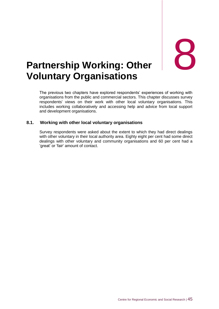

### <span id="page-57-0"></span>**Partnership Working: Other Voluntary Organisations**

The previous two chapters have explored respondents' experiences of working with organisations from the public and commercial sectors. This chapter discusses survey respondents' views on their work with other local voluntary organisations. This includes working collaboratively and accessing help and advice from local support and development organisations.

#### **8.1. Working with other local voluntary organisations**

Survey respondents were asked about the extent to which they had direct dealings with other voluntary in their local authority area. Eighty eight per cent had some direct dealings with other voluntary and community organisations and 60 per cent had a 'great' or 'fair' amount of contact.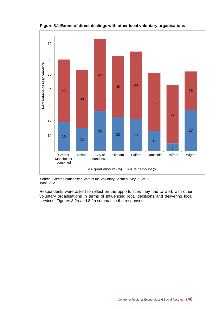

**Figure 8.1 Extent of direct dealings with other local voluntary organisations**

Source: Greater Manchester State of the Voluntary Sector survey 2012/13 Base: 812

Respondents were asked to reflect on the opportunities they had to work with other voluntary organisations in terms of influencing local decisions and delivering local services. Figures 8.2a and 8.2b summarise the responses.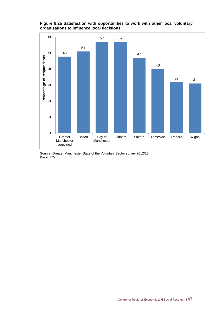**Figure 8.2a Satisfaction with opportunities to work with other local voluntary organisations to influence local decisions**

![](_page_59_Figure_1.jpeg)

Source: Greater Manchester State of the Voluntary Sector survey 2012/13 Base: 775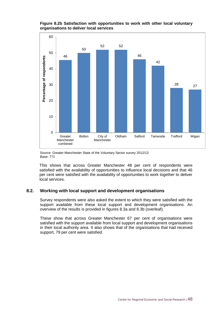**Figure 8.2b Satisfaction with opportunities to work with other local voluntary organisations to deliver local services**

![](_page_60_Figure_1.jpeg)

Source: Greater Manchester State of the Voluntary Sector survey 2012/13 Base: 771

This shows that across Greater Manchester 48 per cent of respondents were satisfied with the availability of opportunities to influence local decisions and that 46 per cent were satisfied with the availability of opportunities to work together to deliver local services.

#### **8.2. Working with local support and development organisations**

Survey respondents were also asked the extent to which they were satisfied with the support available from these local support and development organisations. An overview of the results is provided in figures 8.3a and 8.3b (overleaf).

These show that across Greater Manchester 67 per cent of organisations were satisfied with the support available from local support and development organisations in their local authority area. It also shows that of the organisations that had received support, 79 per cent were satisfied.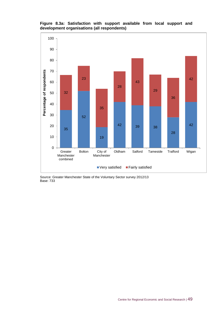![](_page_61_Figure_0.jpeg)

**Figure 8.3a: Satisfaction with support available from local support and development organisations (all respondents)**

Source: Greater Manchester State of the Voluntary Sector survey 2012/13 Base: 733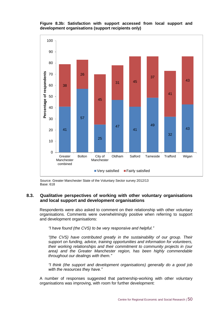![](_page_62_Figure_0.jpeg)

![](_page_62_Figure_1.jpeg)

Source: Greater Manchester State of the Voluntary Sector survey 2012/13 Base: 618

#### **8.3. Qualitative perspectives of working with other voluntary organisations and local support and development organisations**

Respondents were also asked to comment on their relationship with other voluntary organisations. Comments were overwhelmingly positive when referring to support and development organisations:

*"I have found (the CVS) to be very responsive and helpful."*

*"(the CVS) have contributed greatly in the sustainability of our group. Their support on funding, advice, training opportunities and information for volunteers, their working relationships and their commitment to community projects in (our area) and the Greater Manchester region, has been highly commendable throughout our dealings with them."*

*"I think (the support and development organisations) generally do a good job with the resources they have."*

A number of responses suggested that partnership-working with other voluntary organisations was improving, with room for further development: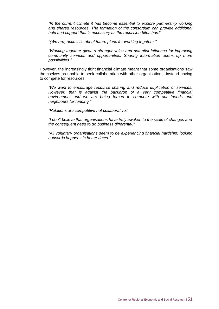*"In the current climate it has become essential to explore partnership working and shared resources. The formation of the consortium can provide additional help and support that is necessary as the recession bites hard"*

*"(We are) optimistic about future plans for working together."*

*"Working together gives a stronger voice and potential influence for improving community services and opportunities. Sharing information opens up more possibilities."*

However, the increasingly tight financial climate meant that some organisations saw themselves as unable to seek collaboration with other organisations, instead having to compete for resources:

*"We want to encourage resource sharing and reduce duplication of services. However, that is against the backdrop of a very competitive financial environment and we are being forced to compete with our friends and neighbours for funding."*

*"Relations are competitive not collaborative."*

*"I don't believe that organisations have truly awoken to the scale of changes and the consequent need to do business differently."*

*"All voluntary organisations seem to be experiencing financial hardship: looking outwards happens in better times."*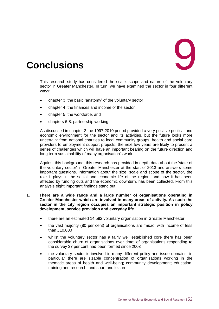<span id="page-64-0"></span>![](_page_64_Picture_0.jpeg)

This research study has considered the scale, scope and nature of the voluntary sector in Greater Manchester. In turn, we have examined the sector in four different ways:

- chapter 3: the basic 'anatomy' of the voluntary sector
- chapter 4: the finances and income of the sector
- chapter 5: the workforce, and
- chapters 6-8: partnership working

As discussed in chapter 2 the 1997-2010 period provided a very positive political and economic environment for the sector and its activities, but the future looks more uncertain: from national charities to local community groups, health and social care providers to employment support projects, the next few years are likely to present a series of challenges which will have an important bearing on the future direction and long term sustainability of many organisation's work.

Against this background, this research has provided in depth data about the 'state of the voluntary sector' in Greater Manchester at the start of 2013 and answers some important questions. Information about the size, scale and scope of the sector, the role it plays in the social and economic life of the region, and how it has been affected by funding cuts and the economic downturn, has been collected. From this analysis eight important findings stand out:

#### **1. There are a wide range and a large number of organisations operating in Greater Manchester which are involved in many areas of activity. As such the sector in the city region occupies an important strategic position in policy development, service provision and everyday life.**

- there are an estimated 14,592 voluntary organisation in Greater Manchester
- the vast majority (80 per cent) of organisations are 'micro' with income of less than £10,000
- whilst the voluntary sector has a fairly well established core there has been considerable churn of organisations over time; of organisations responding to the survey 37 per cent had been formed since 2003
- the voluntary sector is involved in many different policy and issue domains; in particular there are sizable concentration of organisations working in the thematic areas of health and well-being; community development; education, training and research; and sport and leisure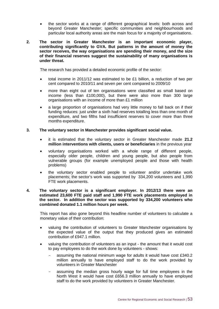the sector works at a range of different geographical levels: both across and beyond Greater Manchester; specific communities and neighbourhoods and particular local authority areas are the main focus for a majority of organisations.

#### **2. The sector in Greater Manchester is an important economic player, contributing significantly to GVA. But patterns in the amount of money the sector receives, the way organisations are spending their money, and the size of their financial reserves suggest the sustainability of many organisations is under threat.**

The research has provided a detailed economic profile of the sector:

- total income in 2011/12 was estimated to be £1 billion, a reduction of two per cent compared to 2010/11 and seven per cent compared to 2009/10
- more than eight out of ten organisations were classified as small based on income (less than £100,000), but there were also more than 300 large organisations with an income of more than £1 million
- a large proportion of organisations had very little money to fall back on if their funding reduces: just under a sixth had reserves totalling less than one month of expenditure, and two fifths had insufficient reserves to cover more than three months expenditure.

#### **3. The voluntary sector in Manchester provides significant social value.**

- it is estimated that the voluntary sector in Greater Manchester made **21.2 million interventions with clients, users or beneficiaries** in the previous year
- voluntary organisations worked with a whole range of different people, especially older people, children and young people, but also people from vulnerable groups (for example unemployed people and those with health problems)
- the voluntary sector enabled people to volunteer and/or undertake work placements; the sector's work was supported by 334,200 volunteers and 1,990 FTE work placements.

#### **4. The voluntary sector is a significant employer. In 2012/13 there were an estimated 23,600 FTE paid staff and 1,990 FTE work placements employed in the sector. In addition the sector was supported by 334,200 volunteers who combined donated 1.1 million hours per week.**

This report has also gone beyond this headline number of volunteers to calculate a monetary value of their contribution:

- valuing the contribution of volunteers to Greater Manchester organisations by the expected value of the output that they produced gives an estimated contribution of £947.1 million.
- valuing the contribution of volunteers as an input the amount that it would cost to pay employees to do the work done by volunteers - shows:
	- assuming the national minimum wage for adults it would have cost £340.2 million annually to have employed staff to do the work provided by volunteers in Greater Manchester
	- assuming the median gross hourly wage for full time employees in the North West it would have cost £656.3 million annually to have employed staff to do the work provided by volunteers in Greater Manchester.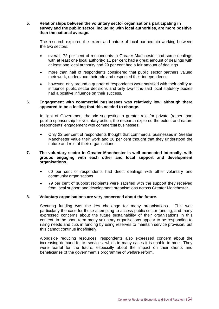#### **5. Relationships between the voluntary sector organisations participating in survey and the public sector, including with local authorities, are more positive than the national average.**

The research explored the extent and nature of local partnership working between the two sectors:

- overall, 72 per cent of respondents in Greater Manchester had some dealings with at least one local authority: 11 per cent had a great amount of dealings with at least one local authority and 29 per cent had a fair amount of dealings
- more than half of respondents considered that public sector partners valued their work, understood their role and respected their independence
- however, only around a quarter of respondents were satisfied with their ability to influence public sector decisions and only two-fifths said local statutory bodies had a positive influence on their success.

#### **6. Engagement with commercial businesses was relatively low, although there appeared to be a feeling that this needed to change.**

In light of Government rhetoric suggesting a greater role for private (rather than public) sponsorship for voluntary action, the research explored the extent and nature respondents' engagement with commercial businesses:

 Only 22 per cent of respondents thought that commercial businesses in Greater Manchester value their work and 20 per cent thought that they understood the nature and role of their organisations

#### **7. The voluntary sector in Greater Manchester is well connected internally, with groups engaging with each other and local support and development organisations.**

- 60 per cent of respondents had direct dealings with other voluntary and community organisations
- 79 per cent of support recipients were satisfied with the support they received from local support and development organisations across Greater Manchester.

#### **8. Voluntary organisations are very concerned about the future.**

Securing funding was the key challenge for many organisations. This was particularly the case for those attempting to access public sector funding, and many expressed concerns about the future sustainability of their organisations in this context. In the short term many voluntary organisations appear to be responding to rising needs and cuts in funding by using reserves to maintain service provision, but this cannot continue indefinitely.

Alongside reducing resources, respondents also expressed concern about the increasing demand for its services, which in many cases it is unable to meet. They were fearful for the future, especially about the impact on their clients and beneficiaries of the government's programme of welfare reform.